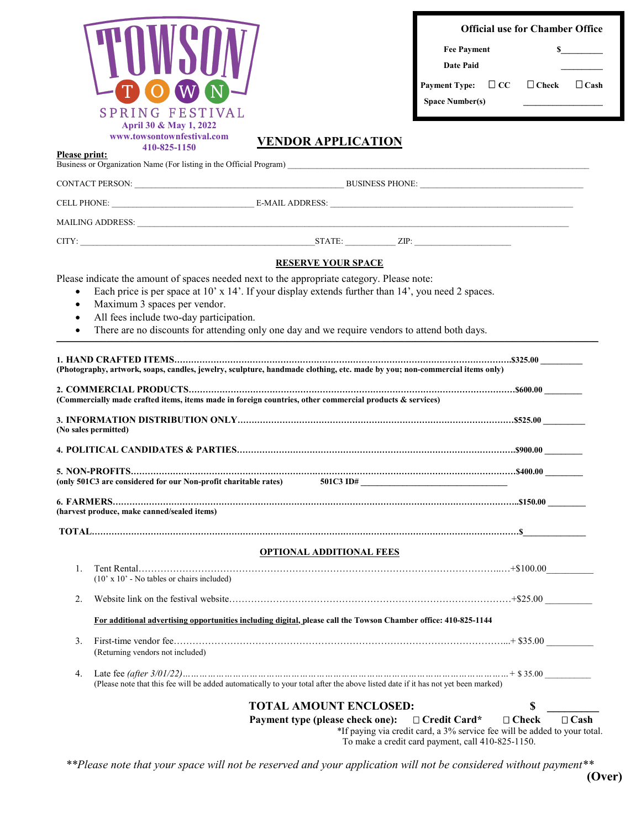|                                                                           | SPRING FESTIVAL<br>April 30 & May 1, 2022                                                                                                                                                                                                                                              | <b>Official use for Chamber Office</b><br><b>Fee Payment</b><br>Date Paid<br>Payment Type: $\Box$ CC $\Box$ Check $\Box$ Cash<br><b>Space Number(s)</b><br>the control of the control of the control of |
|---------------------------------------------------------------------------|----------------------------------------------------------------------------------------------------------------------------------------------------------------------------------------------------------------------------------------------------------------------------------------|---------------------------------------------------------------------------------------------------------------------------------------------------------------------------------------------------------|
| Please print:                                                             | www.towsontownfestival.com<br><b>VENDOR APPLICATION</b><br>410-825-1150                                                                                                                                                                                                                |                                                                                                                                                                                                         |
|                                                                           |                                                                                                                                                                                                                                                                                        |                                                                                                                                                                                                         |
|                                                                           |                                                                                                                                                                                                                                                                                        |                                                                                                                                                                                                         |
|                                                                           |                                                                                                                                                                                                                                                                                        |                                                                                                                                                                                                         |
|                                                                           |                                                                                                                                                                                                                                                                                        |                                                                                                                                                                                                         |
|                                                                           | $CITY:$ $ZIP:$ $ZIP:$                                                                                                                                                                                                                                                                  |                                                                                                                                                                                                         |
|                                                                           | <b>RESERVE YOUR SPACE</b><br>Please indicate the amount of spaces needed next to the appropriate category. Please note:                                                                                                                                                                |                                                                                                                                                                                                         |
|                                                                           | Each price is per space at $10'$ x $14'$ . If your display extends further than $14'$ , you need 2 spaces.<br>Maximum 3 spaces per vendor.<br>All fees include two-day participation.<br>There are no discounts for attending only one day and we require vendors to attend both days. |                                                                                                                                                                                                         |
|                                                                           | (Commercially made crafted items, items made in foreign countries, other commercial products & services)<br>(No sales permitted)                                                                                                                                                       |                                                                                                                                                                                                         |
| (only 501C3 are considered for our Non-profit charitable rates) 501C3 ID# |                                                                                                                                                                                                                                                                                        |                                                                                                                                                                                                         |
|                                                                           | (harvest produce, make canned/sealed items)                                                                                                                                                                                                                                            |                                                                                                                                                                                                         |
|                                                                           |                                                                                                                                                                                                                                                                                        |                                                                                                                                                                                                         |
|                                                                           | <b>OPTIONAL ADDITIONAL FEES</b>                                                                                                                                                                                                                                                        |                                                                                                                                                                                                         |
| 1.                                                                        | $(10' \times 10'$ - No tables or chairs included)                                                                                                                                                                                                                                      |                                                                                                                                                                                                         |
| 2.                                                                        |                                                                                                                                                                                                                                                                                        |                                                                                                                                                                                                         |
|                                                                           | For additional advertising opportunities including digital, please call the Towson Chamber office: 410-825-1144                                                                                                                                                                        |                                                                                                                                                                                                         |
| 3.                                                                        | (Returning vendors not included)                                                                                                                                                                                                                                                       |                                                                                                                                                                                                         |
| 4.                                                                        | (Please note that this fee will be added automatically to your total after the above listed date if it has not yet been marked)                                                                                                                                                        |                                                                                                                                                                                                         |
|                                                                           | <b>TOTAL AMOUNT ENCLOSED:</b><br>Payment type (please check one):                                                                                                                                                                                                                      | \$<br>$\Box$ Credit Card*<br>$\Box$ Check<br>$\Box$ Cash<br>*If paying via credit card, a 3% service fee will be added to your total.<br>To make a credit card payment, call 410-825-1150.              |

*\*\*Please note that your space will not be reserved and your application will not be considered without payment\*\**